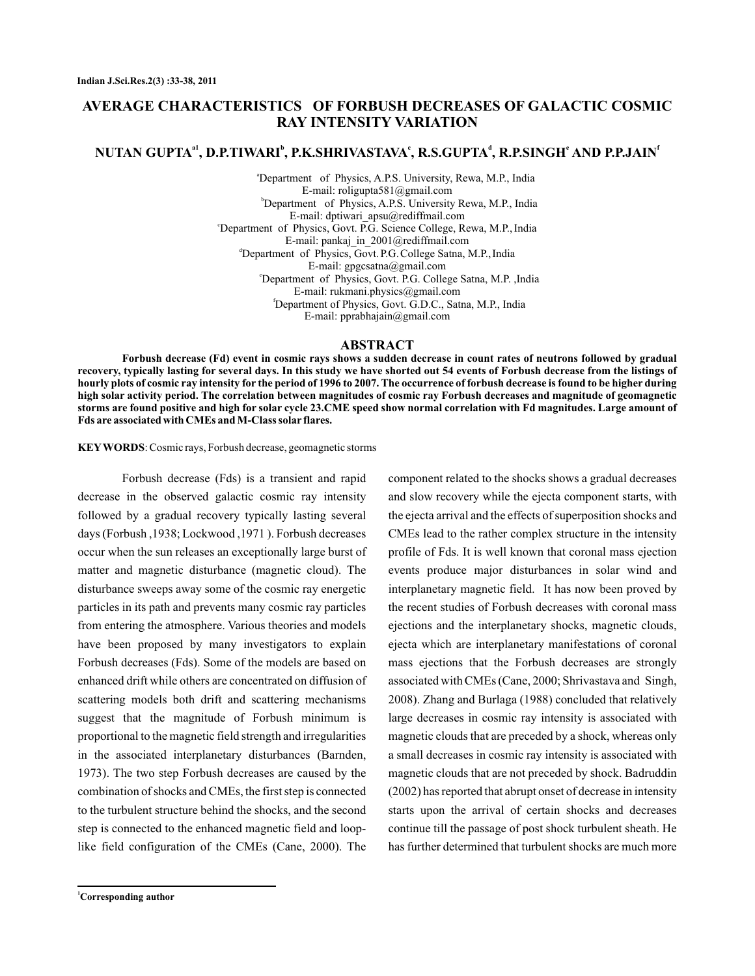# **AVERAGE CHARACTERISTICS OF FORBUSH DECREASES OF GALACTIC COSMIC RAY INTENSITY VARIATION**

## $\bold{NUTAN}$   $\bold{GUPTA}^{a1},$   $\bold{D.P.}$ TIWARI $^b$ ,  $\bold{P.K.}$ SHRIVASTAVA $^c$ ,  $\bold{R.S.}$ GUPTA $^d$ ,  $\bold{R.P.}$ SINGH $^e$  AND  $\bold{P.P.}$ JAIN $^t$

<sup>a</sup>Department of Physics, A.P.S. University, Rewa, M.P., India b Department of Physics, A.P.S. University Rewa, M.P., India <sup>e</sup>Department of Physics, Govt. P.G. Science College, Rewa, M.P., India <sup>d</sup>Department of Physics, Govt. P.G. College Satna, M.P., India e Department of Physics, Govt. P.G. College Satna, M.P. ,India f Department of Physics, Govt. G.D.C., Satna, M.P., India E-mail: roligupta581@gmail.com E-mail: dptiwari\_apsu@rediffmail.com E-mail: pankaj\_in\_2001@rediffmail.com E-mail: gpgcsatna@gmail.com E-mail: rukmani.physics@gmail.com E-mail: pprabhajain@gmail.com

## **ABSTRACT**

**Forbush decrease (Fd) event in cosmic rays shows a sudden decrease in count rates of neutrons followed by gradual recovery, typically lasting for several days. In this study we have shorted out 54 events of Forbush decrease from the listings of hourly plots of cosmic ray intensity for the period of 1996 to 2007. The occurrence of forbush decrease is found to be higher during high solar activity period. The correlation between magnitudes of cosmic ray Forbush decreases and magnitude of geomagnetic storms are found positive and high for solar cycle 23.CME speed show normal correlation with Fd magnitudes. Large amount of Fds are associated with CMEs and M-Class solar flares.**

: Cosmic rays, Forbush decrease, geomagnetic storms **KEYWORDS**

Forbush decrease (Fds) is a transient and rapid decrease in the observed galactic cosmic ray intensity followed by a gradual recovery typically lasting several days (Forbush ,1938; Lockwood ,1971 ). Forbush decreases occur when the sun releases an exceptionally large burst of matter and magnetic disturbance (magnetic cloud). The disturbance sweeps away some of the cosmic ray energetic particles in its path and prevents many cosmic ray particles from entering the atmosphere. Various theories and models have been proposed by many investigators to explain Forbush decreases (Fds). Some of the models are based on enhanced drift while others are concentrated on diffusion of scattering models both drift and scattering mechanisms suggest that the magnitude of Forbush minimum is proportional to the magnetic field strength and irregularities in the associated interplanetary disturbances (Barnden, 1973). The two step Forbush decreases are caused by the combination of shocks and CMEs, the first step is connected to the turbulent structure behind the shocks, and the second step is connected to the enhanced magnetic field and looplike field configuration of the CMEs (Cane, 2000). The

and slow recovery while the ejecta component starts, with the ejecta arrival and the effects of superposition shocks and CMEs lead to the rather complex structure in the intensity profile of Fds. It is well known that coronal mass ejection events produce major disturbances in solar wind and interplanetary magnetic field. It has now been proved by the recent studies of Forbush decreases with coronal mass ejections and the interplanetary shocks, magnetic clouds, ejecta which are interplanetary manifestations of coronal mass ejections that the Forbush decreases are strongly associated with CMEs (Cane, 2000; Shrivastava and Singh, 2008). Zhang and Burlaga (1988) concluded that relatively large decreases in cosmic ray intensity is associated with magnetic clouds that are preceded by a shock, whereas only a small decreases in cosmic ray intensity is associated with magnetic clouds that are not preceded by shock. Badruddin (2002) has reported that abrupt onset of decrease in intensity starts upon the arrival of certain shocks and decreases continue till the passage of post shock turbulent sheath. He has further determined that turbulent shocks are much more

component related to the shocks shows a gradual decreases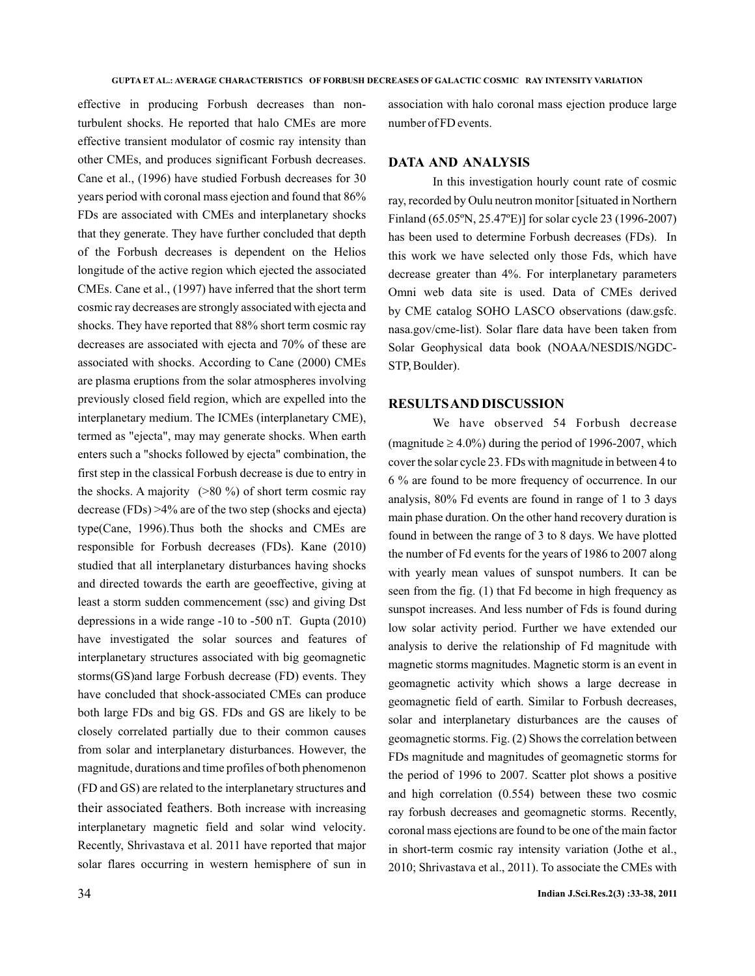effective in producing Forbush decreases than nonturbulent shocks. He reported that halo CMEs are more effective transient modulator of cosmic ray intensity than other CMEs, and produces significant Forbush decreases. Cane et al., (1996) have studied Forbush decreases for 30 years period with coronal mass ejection and found that 86% FDs are associated with CMEs and interplanetary shocks that they generate. They have further concluded that depth of the Forbush decreases is dependent on the Helios longitude of the active region which ejected the associated CMEs. Cane et al., (1997) have inferred that the short term cosmic ray decreases are strongly associated with ejecta and shocks. They have reported that 88% short term cosmic ray decreases are associated with ejecta and 70% of these are associated with shocks. According to Cane (2000) CMEs are plasma eruptions from the solar atmospheres involving previously closed field region, which are expelled into the interplanetary medium. The ICMEs (interplanetary CME), termed as "ejecta", may may generate shocks. When earth enters such a "shocks followed by ejecta" combination, the first step in the classical Forbush decrease is due to entry in the shocks. A majority  $(>80\%)$  of short term cosmic ray decrease (FDs) >4% are of the two step (shocks and ejecta) type(Cane, 1996).Thus both the shocks and CMEs are responsible for Forbush decreases (FDs). Kane (2010) studied that all interplanetary disturbances having shocks and directed towards the earth are geoeffective, giving at least a storm sudden commencement (ssc) and giving Dst depressions in a wide range -10 to -500 nT. Gupta (2010) have investigated the solar sources and features of interplanetary structures associated with big geomagnetic storms(GS)and large Forbush decrease (FD) events. They have concluded that shock-associated CMEs can produce both large FDs and big GS. FDs and GS are likely to be closely correlated partially due to their common causes from solar and interplanetary disturbances. However, the magnitude, durations and time profiles of both phenomenon (FD and GS) are related to the interplanetary structures and their associated feathers. Both increase with increasing interplanetary magnetic field and solar wind velocity . Recently, Shrivastava et al. 2011 have reported that major solar flares occurring in western hemisphere of sun in

association with halo coronal mass ejection produce large number of FD events.

### **DATA AND ANALYSIS**

In this investigation hourly count rate of cosmic ray, recorded by Oulu neutron monitor [situated in Northern Finland (65.05ºN, 25.47ºE)] for solar cycle 23 (1996-2007) has been used to determine Forbush decreases (FDs). In this work we have selected only those Fds, which have decrease greater than 4%. For interplanetary parameters Omni web data site is used. Data of CMEs derived by CME catalog SOHO LASCO observations (daw.gsfc. nasa.gov/cme-list). Solar flare data have been taken from Solar Geophysical data book (NOAA/NESDIS/NGDC-STP, Boulder).

#### **RESULTSAND DISCUSSION**

We have observed 54 Forbush decrease (magnitude  $\geq 4.0\%$ ) during the period of 1996-2007, which cover the solar cycle 23. FDs with magnitude in between 4 to 6 % are found to be more frequency of occurrence. In our analysis, 80% Fd events are found in range of 1 to 3 days main phase duration. On the other hand recovery duration is found in between the range of 3 to 8 days. We have plotted the number of Fd events for the years of 1986 to 2007 along with yearly mean values of sunspot numbers. It can be seen from the fig. (1) that Fd become in high frequency as sunspot increases. And less number of Fds is found during low solar activity period. Further we have extended our analysis to derive the relationship of Fd magnitude with magnetic storms magnitudes. Magnetic storm is an event in geomagnetic activity which shows a large decrease in geomagnetic field of earth. Similar to Forbush decreases, solar and interplanetary disturbances are the causes of geomagnetic storms. Fig. (2) Shows the correlation between FDs magnitude and magnitudes of geomagnetic storms for the period of 1996 to 2007. Scatter plot shows a positive and high correlation (0.554) between these two cosmic ray forbush decreases and geomagnetic storms. Recently, coronal mass ejections are found to be one of the main factor in short-term cosmic ray intensity variation (Jothe et al., 2010; Shrivastava et al., 2011). To associate the CMEs with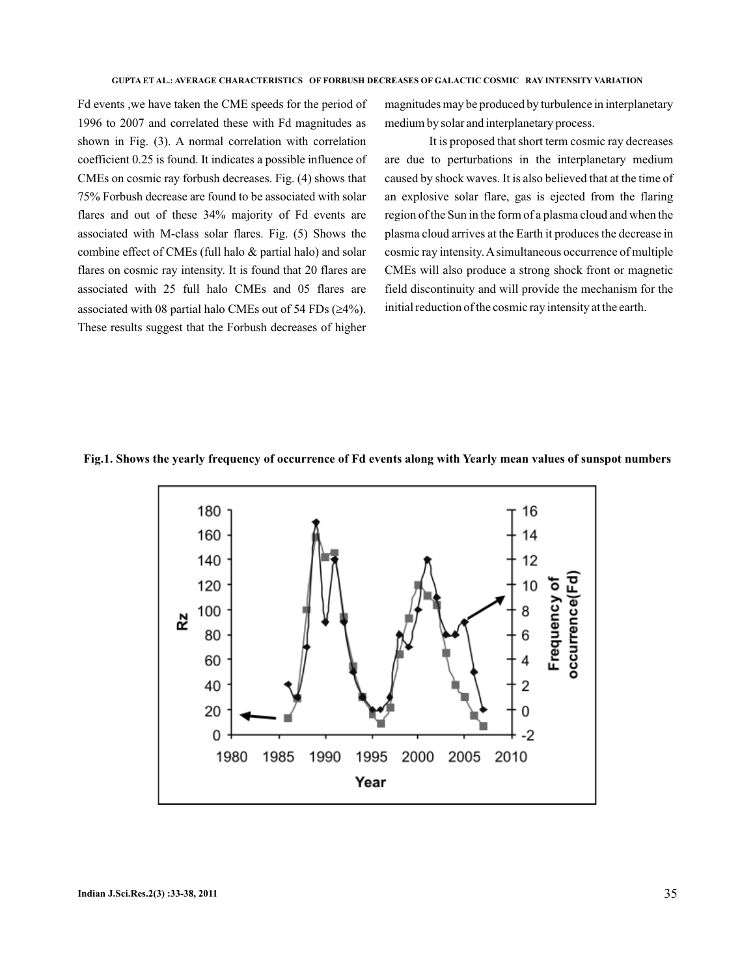Fd events ,we have taken the CME speeds for the period of 1996 to 2007 and correlated these with Fd magnitudes as shown in Fig. (3). A normal correlation with correlation coefficient 0.25 is found. It indicates a possible influence of CMEs on cosmic ray forbush decreases. Fig. (4) shows that 75% Forbush decrease are found to be associated with solar flares and out of these 34% majority of Fd events are associated with M-class solar flares. Fig. (5) Shows the combine effect of CMEs (full halo & partial halo) and solar flares on cosmic ray intensity. It is found that 20 flares are associated with 25 full halo CMEs and 05 flares are associated with 08 partial halo CMEs out of 54 FDs  $(\geq 4\%)$ . These results suggest that the Forbush decreases of higher

magnitudes may be produced by turbulence in interplanetary medium by solar and interplanetary process.

It is proposed that short term cosmic ray decreases are due to perturbations in the interplanetary medium caused by shock waves. It is also believed that at the time of an explosive solar flare, gas is ejected from the flaring region of the Sun in the form of a plasma cloud and when the plasma cloud arrives at the Earth it produces the decrease in cosmic ray intensity.A simultaneous occurrence of multiple CMEs will also produce a strong shock front or magnetic field discontinuity and will provide the mechanism for the initial reduction of the cosmic ray intensity at the earth.



#### **Fig.1. Shows the yearly frequency of occurrence of Fd events along with Yearly mean values of sunspot numbers**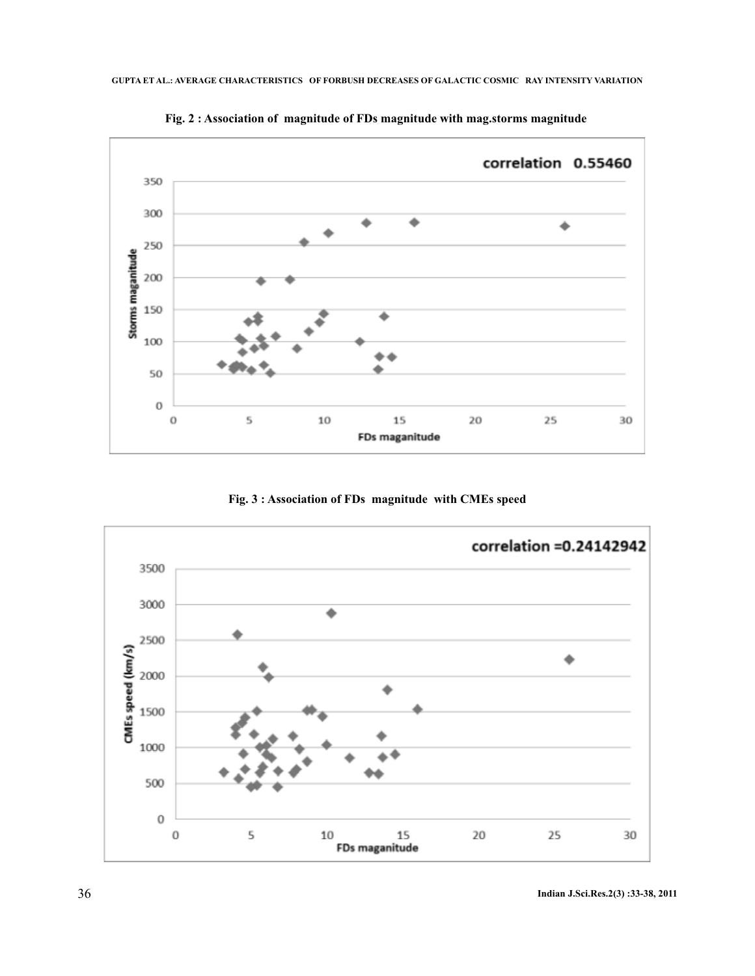

**Fig. 2 : Association of magnitude of FDs magnitude with mag.storms magnitude**

**Fig. 3 : Association of FDs magnitude with CMEs speed**

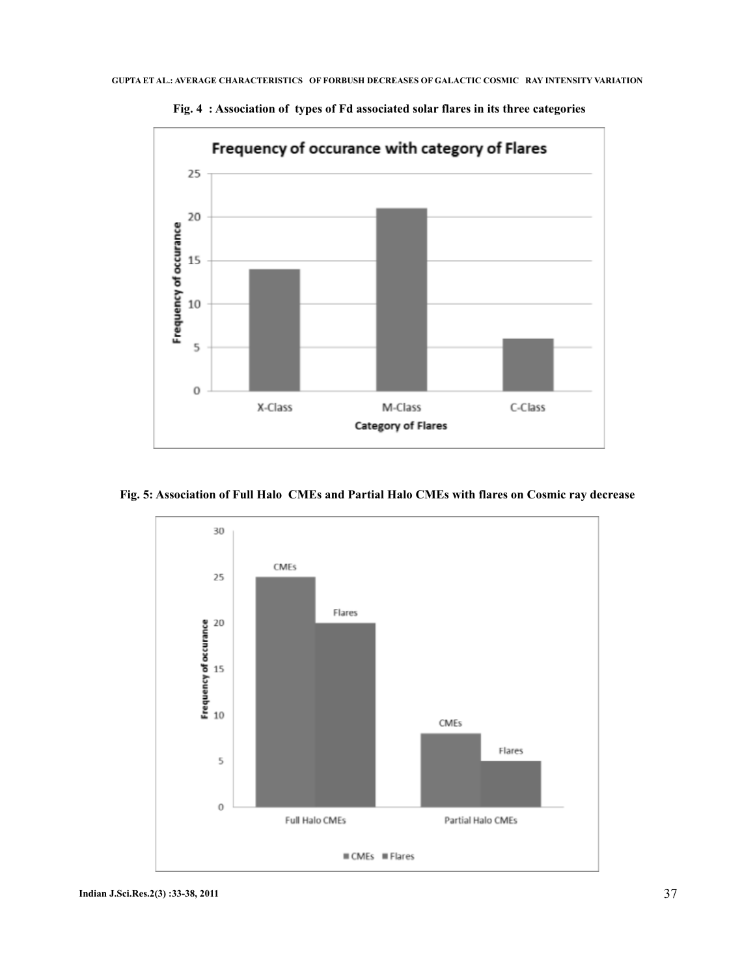

**Fig. 4 : Association of types of Fd associated solar flares in its three categories**

**Fig. 5: Association of Full Halo CMEs and Partial Halo CMEs with flares on Cosmic ray decrease**